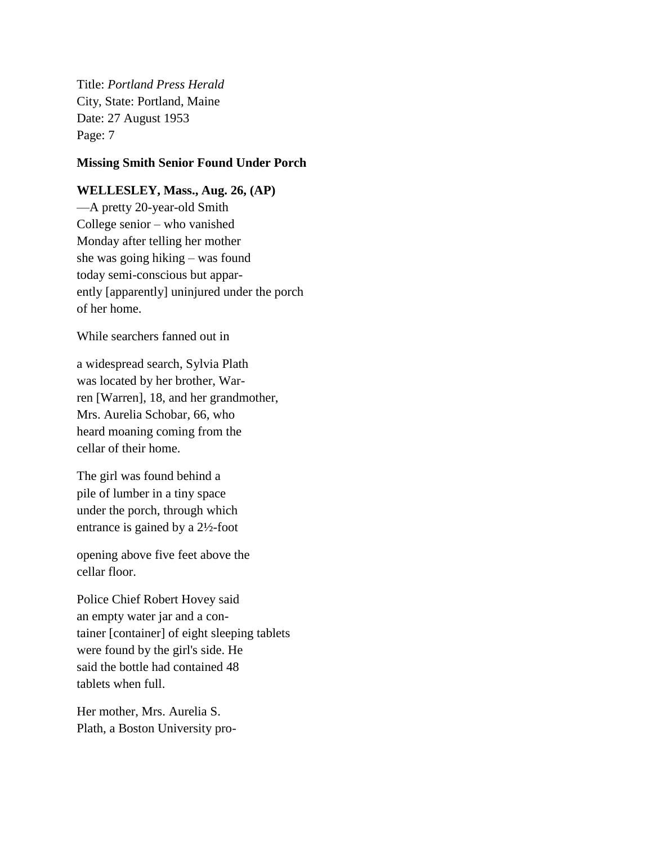Title: *Portland Press Herald* City, State: Portland, Maine Date: 27 August 1953 Page: 7

## **Missing Smith Senior Found Under Porch**

## **WELLESLEY, Mass., Aug. 26, (AP)**

—A pretty 20-year-old Smith College senior – who vanished Monday after telling her mother she was going hiking – was found today semi-conscious but apparently [apparently] uninjured under the porch of her home.

While searchers fanned out in

a widespread search, Sylvia Plath was located by her brother, Warren [Warren], 18, and her grandmother, Mrs. Aurelia Schobar, 66, who heard moaning coming from the cellar of their home.

The girl was found behind a pile of lumber in a tiny space under the porch, through which entrance is gained by a 2½-foot

opening above five feet above the cellar floor.

Police Chief Robert Hovey said an empty water jar and a container [container] of eight sleeping tablets were found by the girl's side. He said the bottle had contained 48 tablets when full.

Her mother, Mrs. Aurelia S. Plath, a Boston University pro